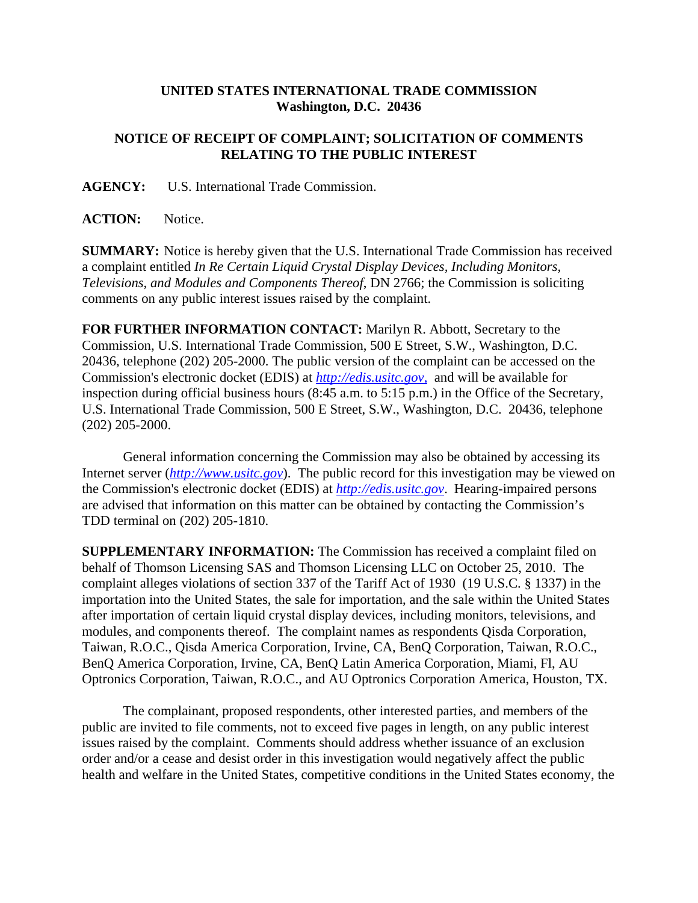## **UNITED STATES INTERNATIONAL TRADE COMMISSION Washington, D.C. 20436**

## **NOTICE OF RECEIPT OF COMPLAINT; SOLICITATION OF COMMENTS RELATING TO THE PUBLIC INTEREST**

## **AGENCY:** U.S. International Trade Commission.

**ACTION:** Notice.

**SUMMARY:** Notice is hereby given that the U.S. International Trade Commission has received a complaint entitled *In Re Certain Liquid Crystal Display Devices, Including Monitors, Televisions, and Modules and Components Thereof*, DN 2766; the Commission is soliciting comments on any public interest issues raised by the complaint.

**FOR FURTHER INFORMATION CONTACT:** Marilyn R. Abbott, Secretary to the Commission, U.S. International Trade Commission, 500 E Street, S.W., Washington, D.C. 20436, telephone (202) 205-2000. The public version of the complaint can be accessed on the Commission's electronic docket (EDIS) at *http://edis.usitc.gov*, and will be available for inspection during official business hours (8:45 a.m. to 5:15 p.m.) in the Office of the Secretary, U.S. International Trade Commission, 500 E Street, S.W., Washington, D.C. 20436, telephone (202) 205-2000.

General information concerning the Commission may also be obtained by accessing its Internet server (*http://www.usitc.gov*). The public record for this investigation may be viewed on the Commission's electronic docket (EDIS) at *http://edis.usitc.gov*. Hearing-impaired persons are advised that information on this matter can be obtained by contacting the Commission's TDD terminal on (202) 205-1810.

**SUPPLEMENTARY INFORMATION:** The Commission has received a complaint filed on behalf of Thomson Licensing SAS and Thomson Licensing LLC on October 25, 2010. The complaint alleges violations of section 337 of the Tariff Act of 1930 (19 U.S.C. § 1337) in the importation into the United States, the sale for importation, and the sale within the United States after importation of certain liquid crystal display devices, including monitors, televisions, and modules, and components thereof. The complaint names as respondents Qisda Corporation, Taiwan, R.O.C., Qisda America Corporation, Irvine, CA, BenQ Corporation, Taiwan, R.O.C., BenQ America Corporation, Irvine, CA, BenQ Latin America Corporation, Miami, Fl, AU Optronics Corporation, Taiwan, R.O.C., and AU Optronics Corporation America, Houston, TX.

The complainant, proposed respondents, other interested parties, and members of the public are invited to file comments, not to exceed five pages in length, on any public interest issues raised by the complaint. Comments should address whether issuance of an exclusion order and/or a cease and desist order in this investigation would negatively affect the public health and welfare in the United States, competitive conditions in the United States economy, the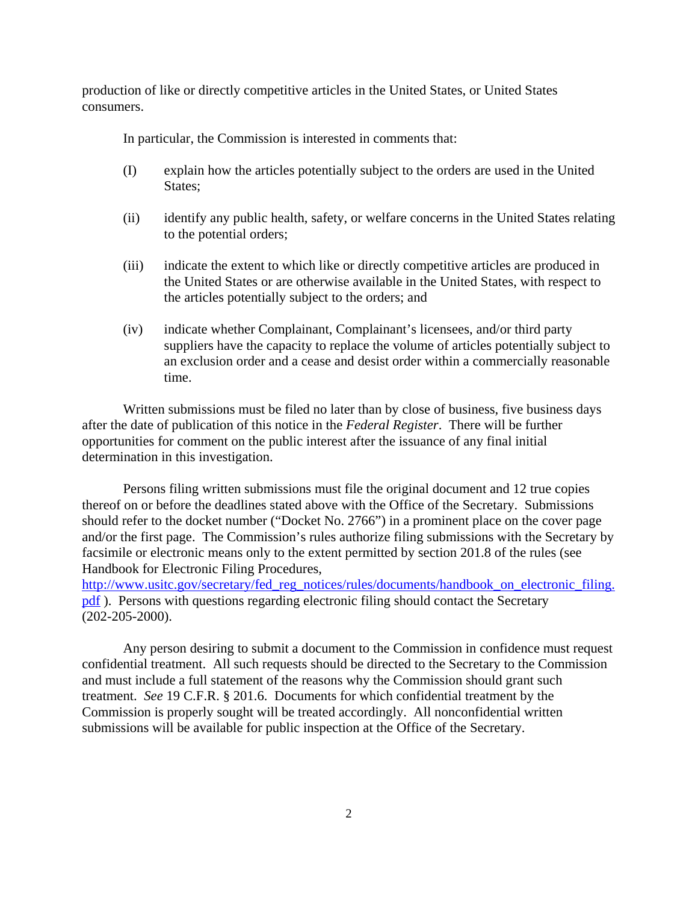production of like or directly competitive articles in the United States, or United States consumers.

In particular, the Commission is interested in comments that:

- (I) explain how the articles potentially subject to the orders are used in the United States;
- (ii) identify any public health, safety, or welfare concerns in the United States relating to the potential orders;
- (iii) indicate the extent to which like or directly competitive articles are produced in the United States or are otherwise available in the United States, with respect to the articles potentially subject to the orders; and
- (iv) indicate whether Complainant, Complainant's licensees, and/or third party suppliers have the capacity to replace the volume of articles potentially subject to an exclusion order and a cease and desist order within a commercially reasonable time.

Written submissions must be filed no later than by close of business, five business days after the date of publication of this notice in the *Federal Register*. There will be further opportunities for comment on the public interest after the issuance of any final initial determination in this investigation.

Persons filing written submissions must file the original document and 12 true copies thereof on or before the deadlines stated above with the Office of the Secretary. Submissions should refer to the docket number ("Docket No. 2766") in a prominent place on the cover page and/or the first page. The Commission's rules authorize filing submissions with the Secretary by facsimile or electronic means only to the extent permitted by section 201.8 of the rules (see Handbook for Electronic Filing Procedures,

http://www.usitc.gov/secretary/fed\_reg\_notices/rules/documents/handbook\_on\_electronic\_filing. pdf ). Persons with questions regarding electronic filing should contact the Secretary (202-205-2000).

Any person desiring to submit a document to the Commission in confidence must request confidential treatment. All such requests should be directed to the Secretary to the Commission and must include a full statement of the reasons why the Commission should grant such treatment. *See* 19 C.F.R. § 201.6. Documents for which confidential treatment by the Commission is properly sought will be treated accordingly. All nonconfidential written submissions will be available for public inspection at the Office of the Secretary.